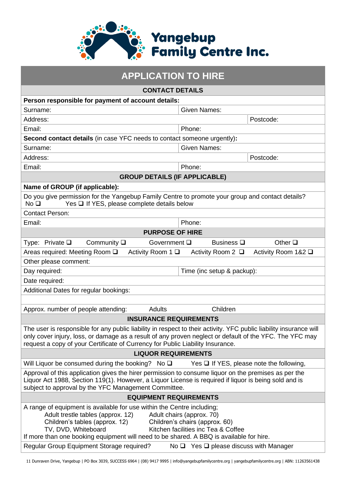

| <b>APPLICATION TO HIRE</b>                                                                                                                                                                                                                                                                                                                                            |                                               |  |  |  |  |  |  |
|-----------------------------------------------------------------------------------------------------------------------------------------------------------------------------------------------------------------------------------------------------------------------------------------------------------------------------------------------------------------------|-----------------------------------------------|--|--|--|--|--|--|
| <b>CONTACT DETAILS</b>                                                                                                                                                                                                                                                                                                                                                |                                               |  |  |  |  |  |  |
| Person responsible for payment of account details:                                                                                                                                                                                                                                                                                                                    |                                               |  |  |  |  |  |  |
| Surname:                                                                                                                                                                                                                                                                                                                                                              | <b>Given Names:</b>                           |  |  |  |  |  |  |
| Address:                                                                                                                                                                                                                                                                                                                                                              | Postcode:                                     |  |  |  |  |  |  |
| Email:<br>Phone:                                                                                                                                                                                                                                                                                                                                                      |                                               |  |  |  |  |  |  |
| Second contact details (in case YFC needs to contact someone urgently):                                                                                                                                                                                                                                                                                               |                                               |  |  |  |  |  |  |
| Surname:                                                                                                                                                                                                                                                                                                                                                              | <b>Given Names:</b>                           |  |  |  |  |  |  |
| Address:                                                                                                                                                                                                                                                                                                                                                              | Postcode:                                     |  |  |  |  |  |  |
| Email:                                                                                                                                                                                                                                                                                                                                                                | Phone:                                        |  |  |  |  |  |  |
| <b>GROUP DETAILS (IF APPLICABLE)</b>                                                                                                                                                                                                                                                                                                                                  |                                               |  |  |  |  |  |  |
| Name of GROUP (if applicable):                                                                                                                                                                                                                                                                                                                                        |                                               |  |  |  |  |  |  |
| Do you give permission for the Yangebup Family Centre to promote your group and contact details?<br>Yes □ If YES, please complete details below<br>No <sub>Q</sub>                                                                                                                                                                                                    |                                               |  |  |  |  |  |  |
| <b>Contact Person:</b>                                                                                                                                                                                                                                                                                                                                                |                                               |  |  |  |  |  |  |
| Email:                                                                                                                                                                                                                                                                                                                                                                | Phone:                                        |  |  |  |  |  |  |
| <b>PURPOSE OF HIRE</b>                                                                                                                                                                                                                                                                                                                                                |                                               |  |  |  |  |  |  |
| Type: Private $\square$<br>Community $\square$<br>Government Q                                                                                                                                                                                                                                                                                                        | Business $\square$<br>Other $\square$         |  |  |  |  |  |  |
| Areas required: Meeting Room □<br>Activity Room $1 \square$                                                                                                                                                                                                                                                                                                           | Activity Room 1&2 □<br>Activity Room $2 \Box$ |  |  |  |  |  |  |
| Other please comment:                                                                                                                                                                                                                                                                                                                                                 |                                               |  |  |  |  |  |  |
| Day required:                                                                                                                                                                                                                                                                                                                                                         | Time (inc setup & packup):                    |  |  |  |  |  |  |
| Date required:                                                                                                                                                                                                                                                                                                                                                        |                                               |  |  |  |  |  |  |
| Additional Dates for regular bookings:                                                                                                                                                                                                                                                                                                                                |                                               |  |  |  |  |  |  |
|                                                                                                                                                                                                                                                                                                                                                                       |                                               |  |  |  |  |  |  |
| Approx. number of people attending:<br>Adults                                                                                                                                                                                                                                                                                                                         | Children                                      |  |  |  |  |  |  |
| <b>INSURANCE REQUIREMENTS</b>                                                                                                                                                                                                                                                                                                                                         |                                               |  |  |  |  |  |  |
| The user is responsible for any public liability in respect to their activity. YFC public liability insurance will<br>only cover injury, loss, or damage as a result of any proven neglect or default of the YFC. The YFC may<br>request a copy of your Certificate of Currency for Public Liability Insurance.                                                       |                                               |  |  |  |  |  |  |
| <b>LIQUOR REQUIREMENTS</b>                                                                                                                                                                                                                                                                                                                                            |                                               |  |  |  |  |  |  |
| Will Liquor be consumed during the booking? No $\square$                                                                                                                                                                                                                                                                                                              | Yes $\Box$ If YES, please note the following, |  |  |  |  |  |  |
| Approval of this application gives the hirer permission to consume liquor on the premises as per the<br>Liquor Act 1988, Section 119(1). However, a Liquor License is required if liquor is being sold and is<br>subject to approval by the YFC Management Committee.                                                                                                 |                                               |  |  |  |  |  |  |
| <b>EQUIPMENT REQUIREMENTS</b>                                                                                                                                                                                                                                                                                                                                         |                                               |  |  |  |  |  |  |
| A range of equipment is available for use within the Centre including;<br>Adult trestle tables (approx. 12)<br>Adult chairs (approx. 70)<br>Children's tables (approx. 12)<br>Children's chairs (approx. 60)<br>TV, DVD, Whiteboard<br>Kitchen facilities inc Tea & Coffee<br>If more than one booking equipment will need to be shared. A BBQ is available for hire. |                                               |  |  |  |  |  |  |
| Regular Group Equipment Storage required?<br>No $\Box$ Yes $\Box$ please discuss with Manager                                                                                                                                                                                                                                                                         |                                               |  |  |  |  |  |  |

<sup>11</sup> Dunraven Drive, Yangebup | PO Box 3039, SUCCESS 6964 | (08) 9417 9995 | info@yangebupfamilycentre.org | yangebupfamilycentre.org | ABN: 11263561438